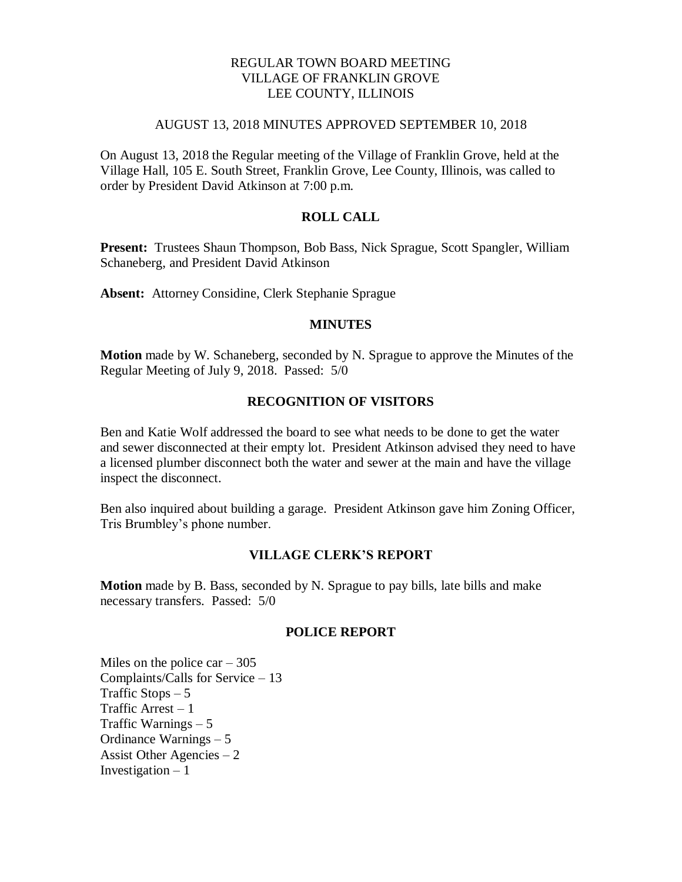## REGULAR TOWN BOARD MEETING VILLAGE OF FRANKLIN GROVE LEE COUNTY, ILLINOIS

#### AUGUST 13, 2018 MINUTES APPROVED SEPTEMBER 10, 2018

On August 13, 2018 the Regular meeting of the Village of Franklin Grove, held at the Village Hall, 105 E. South Street, Franklin Grove, Lee County, Illinois, was called to order by President David Atkinson at 7:00 p.m.

### **ROLL CALL**

**Present:** Trustees Shaun Thompson, Bob Bass, Nick Sprague, Scott Spangler, William Schaneberg, and President David Atkinson

**Absent:** Attorney Considine, Clerk Stephanie Sprague

### **MINUTES**

**Motion** made by W. Schaneberg, seconded by N. Sprague to approve the Minutes of the Regular Meeting of July 9, 2018. Passed: 5/0

#### **RECOGNITION OF VISITORS**

Ben and Katie Wolf addressed the board to see what needs to be done to get the water and sewer disconnected at their empty lot. President Atkinson advised they need to have a licensed plumber disconnect both the water and sewer at the main and have the village inspect the disconnect.

Ben also inquired about building a garage. President Atkinson gave him Zoning Officer, Tris Brumbley's phone number.

#### **VILLAGE CLERK'S REPORT**

**Motion** made by B. Bass, seconded by N. Sprague to pay bills, late bills and make necessary transfers. Passed: 5/0

## **POLICE REPORT**

Miles on the police car  $-305$ Complaints/Calls for Service – 13 Traffic Stops  $-5$ Traffic Arrest – 1 Traffic Warnings – 5 Ordinance Warnings – 5 Assist Other Agencies  $-2$ Investigation  $-1$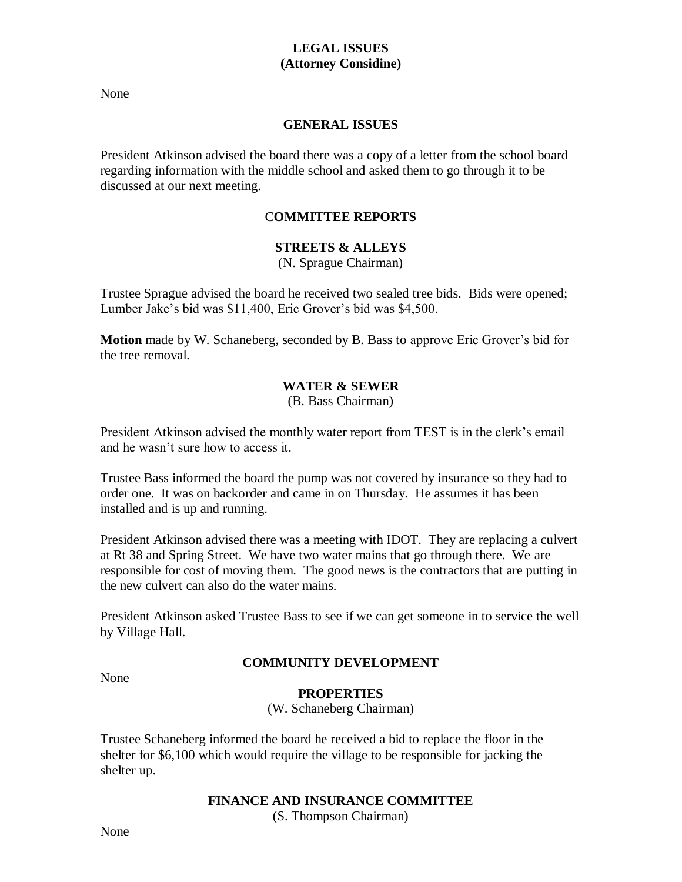# **LEGAL ISSUES (Attorney Considine)**

None

# **GENERAL ISSUES**

President Atkinson advised the board there was a copy of a letter from the school board regarding information with the middle school and asked them to go through it to be discussed at our next meeting.

# C**OMMITTEE REPORTS**

# **STREETS & ALLEYS**

(N. Sprague Chairman)

Trustee Sprague advised the board he received two sealed tree bids. Bids were opened; Lumber Jake's bid was \$11,400, Eric Grover's bid was \$4,500.

**Motion** made by W. Schaneberg, seconded by B. Bass to approve Eric Grover's bid for the tree removal.

# **WATER & SEWER**

(B. Bass Chairman)

President Atkinson advised the monthly water report from TEST is in the clerk's email and he wasn't sure how to access it.

Trustee Bass informed the board the pump was not covered by insurance so they had to order one. It was on backorder and came in on Thursday. He assumes it has been installed and is up and running.

President Atkinson advised there was a meeting with IDOT. They are replacing a culvert at Rt 38 and Spring Street. We have two water mains that go through there. We are responsible for cost of moving them. The good news is the contractors that are putting in the new culvert can also do the water mains.

President Atkinson asked Trustee Bass to see if we can get someone in to service the well by Village Hall.

# **COMMUNITY DEVELOPMENT**

None

# **PROPERTIES**

(W. Schaneberg Chairman)

Trustee Schaneberg informed the board he received a bid to replace the floor in the shelter for \$6,100 which would require the village to be responsible for jacking the shelter up.

# **FINANCE AND INSURANCE COMMITTEE**

(S. Thompson Chairman)

None